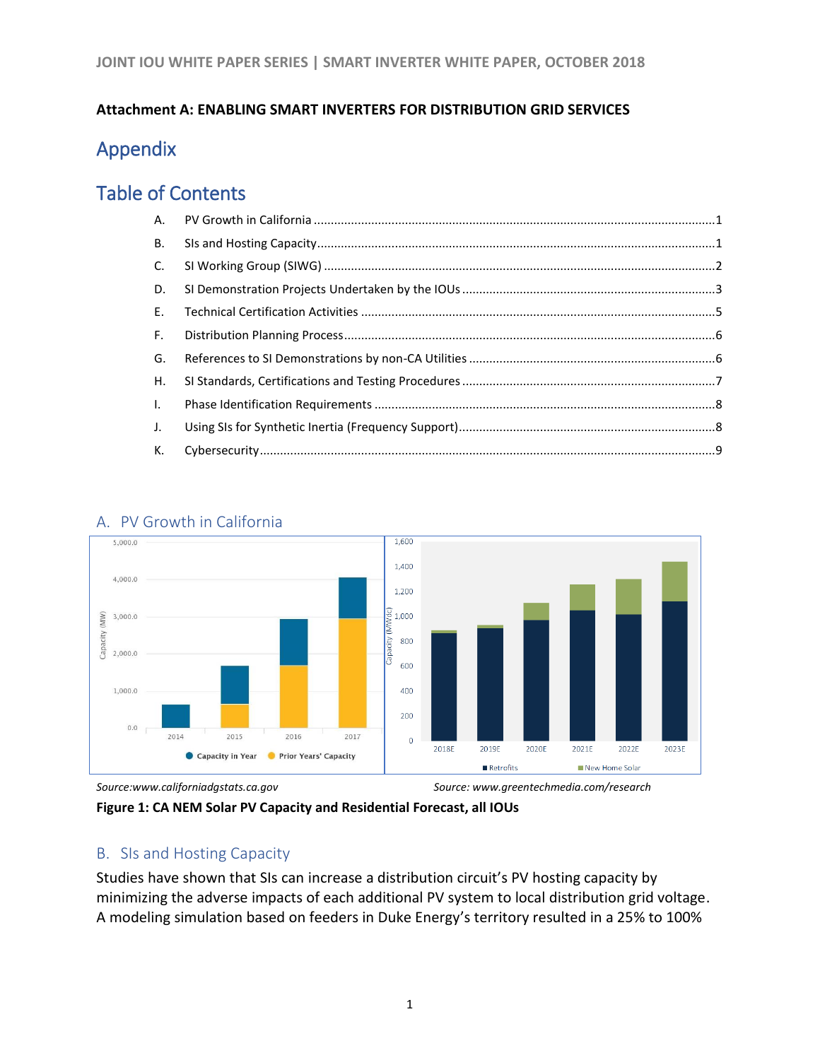#### **Attachment A: ENABLING SMART INVERTERS FOR DISTRIBUTION GRID SERVICES**

# Appendix

## Table of Contents

| <b>B.</b>    |  |
|--------------|--|
| $C_{1}$      |  |
| D.           |  |
| $E_{\rm{H}}$ |  |
| $F_{\rm{H}}$ |  |
| G.           |  |
| Н.           |  |
| $\mathbf{L}$ |  |
| J.           |  |
| K.           |  |



## <span id="page-0-0"></span>A. PV Growth in California

## <span id="page-0-1"></span>B. SIs and Hosting Capacity

Studies have shown that SIs can increase a distribution circuit's PV hosting capacity by minimizing the adverse impacts of each additional PV system to local distribution grid voltage. A modeling simulation based on feeders in Duke Energy's territory resulted in a 25% to 100%

*Source:www.californiadgstats.ca.gov Source: www.greentechmedia.com/research*

**Figure 1: CA NEM Solar PV Capacity and Residential Forecast, all IOUs**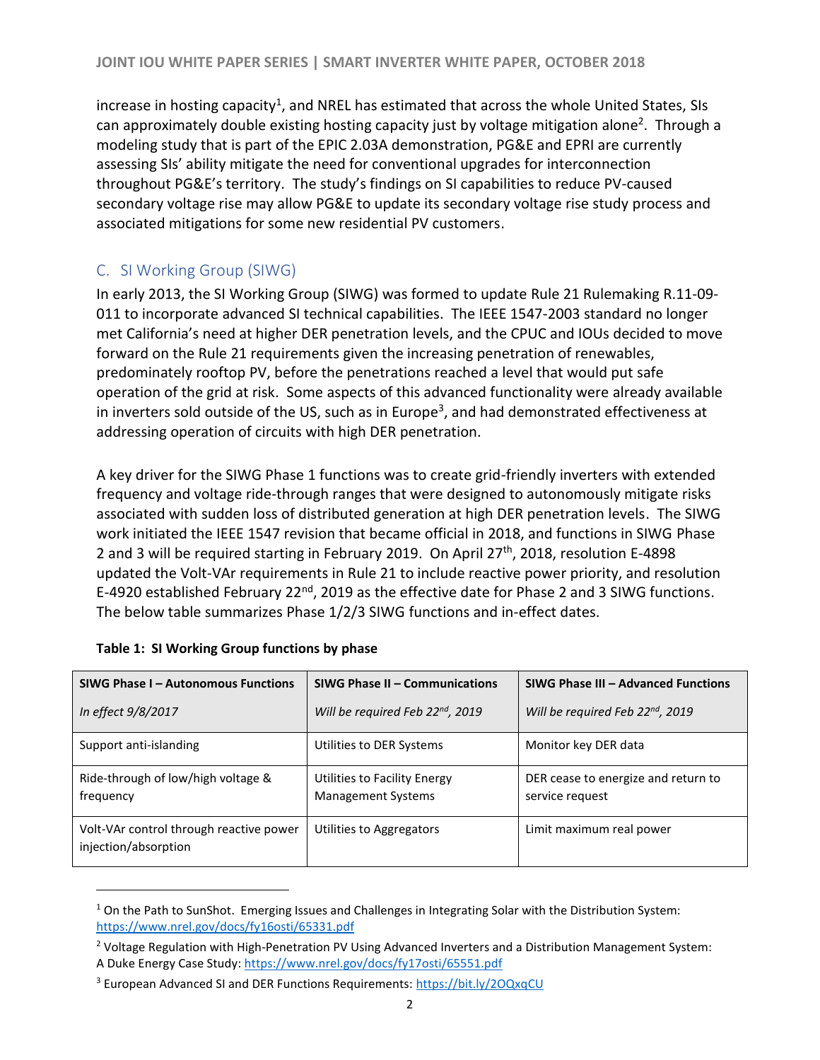increase in hosting capacity<sup>1</sup>, and NREL has estimated that across the whole United States, SIs can approximately double existing hosting capacity just by voltage mitigation alone<sup>2</sup>. Through a modeling study that is part of the EPIC 2.03A demonstration, PG&E and EPRI are currently assessing SIs' ability mitigate the need for conventional upgrades for interconnection throughout PG&E's territory. The study's findings on SI capabilities to reduce PV-caused secondary voltage rise may allow PG&E to update its secondary voltage rise study process and associated mitigations for some new residential PV customers.

## <span id="page-1-0"></span>C. SI Working Group (SIWG)

In early 2013, the SI Working Group (SIWG) was formed to update Rule 21 Rulemaking R.11-09- 011 to incorporate advanced SI technical capabilities. The IEEE 1547-2003 standard no longer met California's need at higher DER penetration levels, and the CPUC and IOUs decided to move forward on the Rule 21 requirements given the increasing penetration of renewables, predominately rooftop PV, before the penetrations reached a level that would put safe operation of the grid at risk. Some aspects of this advanced functionality were already available in inverters sold outside of the US, such as in Europe<sup>3</sup>, and had demonstrated effectiveness at addressing operation of circuits with high DER penetration.

A key driver for the SIWG Phase 1 functions was to create grid-friendly inverters with extended frequency and voltage ride-through ranges that were designed to autonomously mitigate risks associated with sudden loss of distributed generation at high DER penetration levels. The SIWG work initiated the IEEE 1547 revision that became official in 2018, and functions in SIWG Phase 2 and 3 will be required starting in February 2019. On April  $27<sup>th</sup>$ , 2018, resolution E-4898 updated the Volt-VAr requirements in Rule 21 to include reactive power priority, and resolution E-4920 established February 22<sup>nd</sup>, 2019 as the effective date for Phase 2 and 3 SIWG functions. The below table summarizes Phase 1/2/3 SIWG functions and in-effect dates.

| SIWG Phase I - Autonomous Functions                             | SIWG Phase II - Communications                            | SIWG Phase III - Advanced Functions                    |
|-----------------------------------------------------------------|-----------------------------------------------------------|--------------------------------------------------------|
| In effect 9/8/2017                                              | Will be required Feb 22 <sup>nd</sup> , 2019              | Will be required Feb 22 <sup>nd</sup> , 2019           |
| Support anti-islanding                                          | Utilities to DER Systems                                  | Monitor key DER data                                   |
| Ride-through of low/high voltage &<br>frequency                 | Utilities to Facility Energy<br><b>Management Systems</b> | DER cease to energize and return to<br>service request |
| Volt-VAr control through reactive power<br>injection/absorption | Utilities to Aggregators                                  | Limit maximum real power                               |

| Table 1: SI Working Group functions by phase |  |  |  |  |
|----------------------------------------------|--|--|--|--|
|----------------------------------------------|--|--|--|--|

 $\overline{a}$ 

 $1$  On the Path to SunShot. Emerging Issues and Challenges in Integrating Solar with the Distribution System: <https://www.nrel.gov/docs/fy16osti/65331.pdf>

<sup>&</sup>lt;sup>2</sup> Voltage Regulation with High-Penetration PV Using Advanced Inverters and a Distribution Management System: A Duke Energy Case Study[: https://www.nrel.gov/docs/fy17osti/65551.pdf](https://www.nrel.gov/docs/fy17osti/65551.pdf)

<sup>&</sup>lt;sup>3</sup> European Advanced SI and DER Functions Requirements[: https://bit.ly/2OQxqCU](https://bit.ly/2OQxqCU)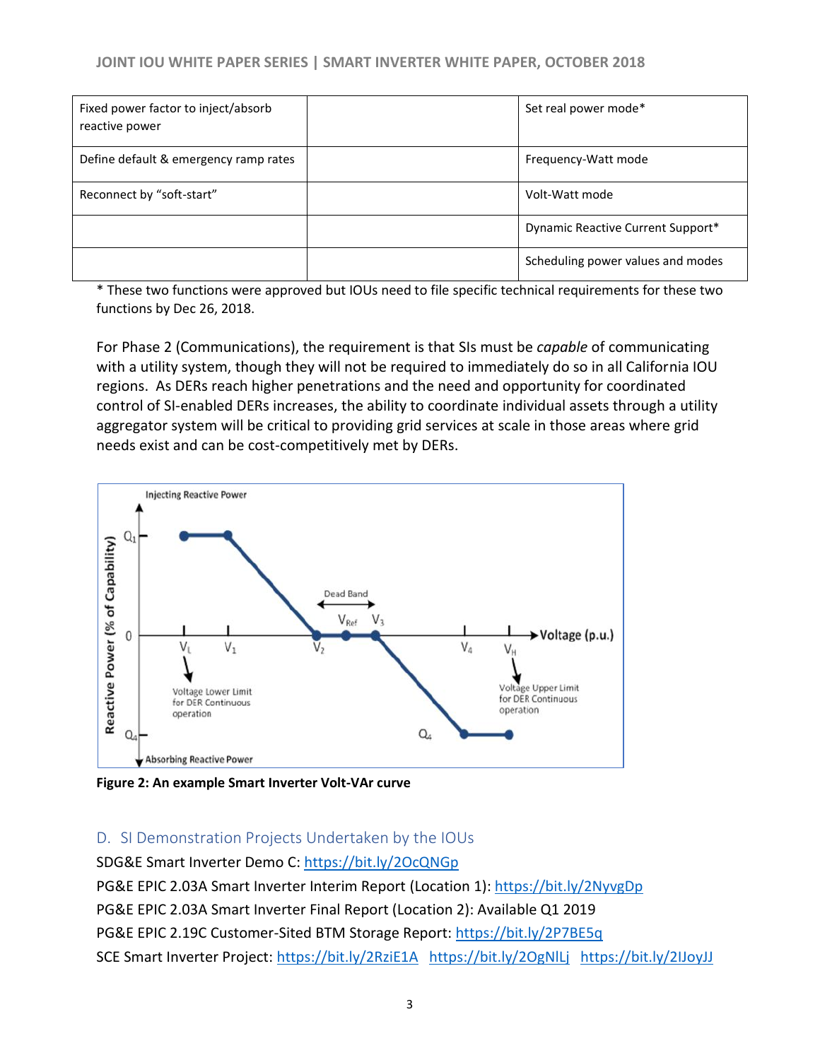| Fixed power factor to inject/absorb<br>reactive power | Set real power mode*              |
|-------------------------------------------------------|-----------------------------------|
| Define default & emergency ramp rates                 | Frequency-Watt mode               |
| Reconnect by "soft-start"                             | Volt-Watt mode                    |
|                                                       | Dynamic Reactive Current Support* |
|                                                       | Scheduling power values and modes |

\* These two functions were approved but IOUs need to file specific technical requirements for these two functions by Dec 26, 2018.

For Phase 2 (Communications), the requirement is that SIs must be *capable* of communicating with a utility system, though they will not be required to immediately do so in all California IOU regions. As DERs reach higher penetrations and the need and opportunity for coordinated control of SI-enabled DERs increases, the ability to coordinate individual assets through a utility aggregator system will be critical to providing grid services at scale in those areas where grid needs exist and can be cost-competitively met by DERs.



**Figure 2: An example Smart Inverter Volt-VAr curve**

#### <span id="page-2-0"></span>D. SI Demonstration Projects Undertaken by the IOUs

SDG&E Smart Inverter Demo C:<https://bit.ly/2OcQNGp>

PG&E EPIC 2.03A Smart Inverter Interim Report (Location 1):<https://bit.ly/2NyvgDp> PG&E EPIC 2.03A Smart Inverter Final Report (Location 2): Available Q1 2019 PG&E EPIC 2.19C Customer-Sited BTM Storage Report:<https://bit.ly/2P7BE5q> SCE Smart Inverter Project:<https://bit.ly/2RziE1A><https://bit.ly/2OgNlLj><https://bit.ly/2IJoyJJ>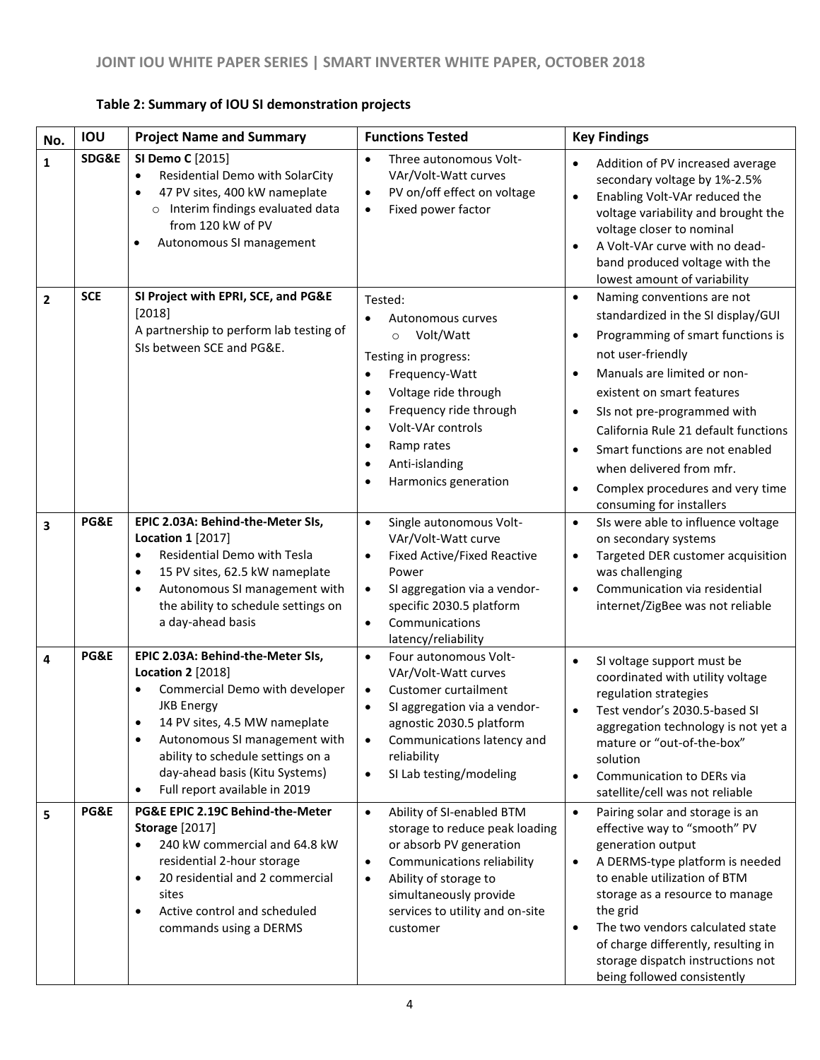| No.            | <b>IOU</b> | <b>Project Name and Summary</b>                                                                                                                                                                                                                                                                             | <b>Functions Tested</b>                                                                                                                                                                                                                                                                                                               | <b>Key Findings</b>                                                                                                                                                                                                                                                                                                                                                                                                                                            |
|----------------|------------|-------------------------------------------------------------------------------------------------------------------------------------------------------------------------------------------------------------------------------------------------------------------------------------------------------------|---------------------------------------------------------------------------------------------------------------------------------------------------------------------------------------------------------------------------------------------------------------------------------------------------------------------------------------|----------------------------------------------------------------------------------------------------------------------------------------------------------------------------------------------------------------------------------------------------------------------------------------------------------------------------------------------------------------------------------------------------------------------------------------------------------------|
| 1              | SDG&E      | SI Demo C [2015]<br>Residential Demo with SolarCity<br>$\bullet$<br>47 PV sites, 400 kW nameplate<br>Interim findings evaluated data<br>$\circ$<br>from 120 kW of PV<br>Autonomous SI management<br>٠                                                                                                       | Three autonomous Volt-<br>$\bullet$<br>VAr/Volt-Watt curves<br>PV on/off effect on voltage<br>$\bullet$<br>Fixed power factor<br>$\bullet$                                                                                                                                                                                            | Addition of PV increased average<br>$\bullet$<br>secondary voltage by 1%-2.5%<br>Enabling Volt-VAr reduced the<br>$\bullet$<br>voltage variability and brought the<br>voltage closer to nominal<br>A Volt-VAr curve with no dead-<br>$\bullet$<br>band produced voltage with the<br>lowest amount of variability                                                                                                                                               |
| $\overline{2}$ | <b>SCE</b> | SI Project with EPRI, SCE, and PG&E<br>[2018]<br>A partnership to perform lab testing of<br>SIs between SCE and PG&E.                                                                                                                                                                                       | Tested:<br>Autonomous curves<br>$\bullet$<br>Volt/Watt<br>$\circ$<br>Testing in progress:<br>Frequency-Watt<br>$\bullet$<br>Voltage ride through<br>$\bullet$<br>Frequency ride through<br>$\bullet$<br>Volt-VAr controls<br>$\bullet$<br>Ramp rates<br>$\bullet$<br>Anti-islanding<br>$\bullet$<br>Harmonics generation<br>$\bullet$ | Naming conventions are not<br>$\bullet$<br>standardized in the SI display/GUI<br>Programming of smart functions is<br>$\bullet$<br>not user-friendly<br>Manuals are limited or non-<br>$\bullet$<br>existent on smart features<br>SIs not pre-programmed with<br>$\bullet$<br>California Rule 21 default functions<br>Smart functions are not enabled<br>when delivered from mfr.<br>Complex procedures and very time<br>$\bullet$<br>consuming for installers |
| 3              | PG&E       | EPIC 2.03A: Behind-the-Meter SIs,<br><b>Location 1 [2017]</b><br><b>Residential Demo with Tesla</b><br>15 PV sites, 62.5 kW nameplate<br>$\bullet$<br>Autonomous SI management with<br>$\bullet$<br>the ability to schedule settings on<br>a day-ahead basis                                                | Single autonomous Volt-<br>$\bullet$<br>VAr/Volt-Watt curve<br><b>Fixed Active/Fixed Reactive</b><br>$\bullet$<br>Power<br>SI aggregation via a vendor-<br>$\bullet$<br>specific 2030.5 platform<br>Communications<br>$\bullet$<br>latency/reliability                                                                                | SIs were able to influence voltage<br>$\bullet$<br>on secondary systems<br>Targeted DER customer acquisition<br>$\bullet$<br>was challenging<br>Communication via residential<br>$\bullet$<br>internet/ZigBee was not reliable                                                                                                                                                                                                                                 |
| 4              | PG&E       | EPIC 2.03A: Behind-the-Meter SIs,<br><b>Location 2 [2018]</b><br>Commercial Demo with developer<br><b>JKB Energy</b><br>14 PV sites, 4.5 MW nameplate<br>Autonomous SI management with<br>ability to schedule settings on a<br>day-ahead basis (Kitu Systems)<br>Full report available in 2019<br>$\bullet$ | Four autonomous Volt-<br>$\bullet$<br>VAr/Volt-Watt curves<br>Customer curtailment<br>$\bullet$<br>SI aggregation via a vendor-<br>$\bullet$<br>agnostic 2030.5 platform<br>Communications latency and<br>$\bullet$<br>reliability<br>SI Lab testing/modeling<br>$\bullet$                                                            | SI voltage support must be<br>$\bullet$<br>coordinated with utility voltage<br>regulation strategies<br>Test vendor's 2030.5-based SI<br>$\bullet$<br>aggregation technology is not yet a<br>mature or "out-of-the-box"<br>solution<br>Communication to DERs via<br>$\bullet$<br>satellite/cell was not reliable                                                                                                                                               |
| 5              | PG&E       | PG&E EPIC 2.19C Behind-the-Meter<br><b>Storage [2017]</b><br>240 kW commercial and 64.8 kW<br>residential 2-hour storage<br>20 residential and 2 commercial<br>$\bullet$<br>sites<br>Active control and scheduled<br>$\bullet$<br>commands using a DERMS                                                    | Ability of SI-enabled BTM<br>$\bullet$<br>storage to reduce peak loading<br>or absorb PV generation<br>Communications reliability<br>$\bullet$<br>Ability of storage to<br>$\bullet$<br>simultaneously provide<br>services to utility and on-site<br>customer                                                                         | Pairing solar and storage is an<br>$\bullet$<br>effective way to "smooth" PV<br>generation output<br>A DERMS-type platform is needed<br>$\bullet$<br>to enable utilization of BTM<br>storage as a resource to manage<br>the grid<br>The two vendors calculated state<br>$\bullet$<br>of charge differently, resulting in<br>storage dispatch instructions not<br>being followed consistently                                                                   |

#### **Table 2: Summary of IOU SI demonstration projects**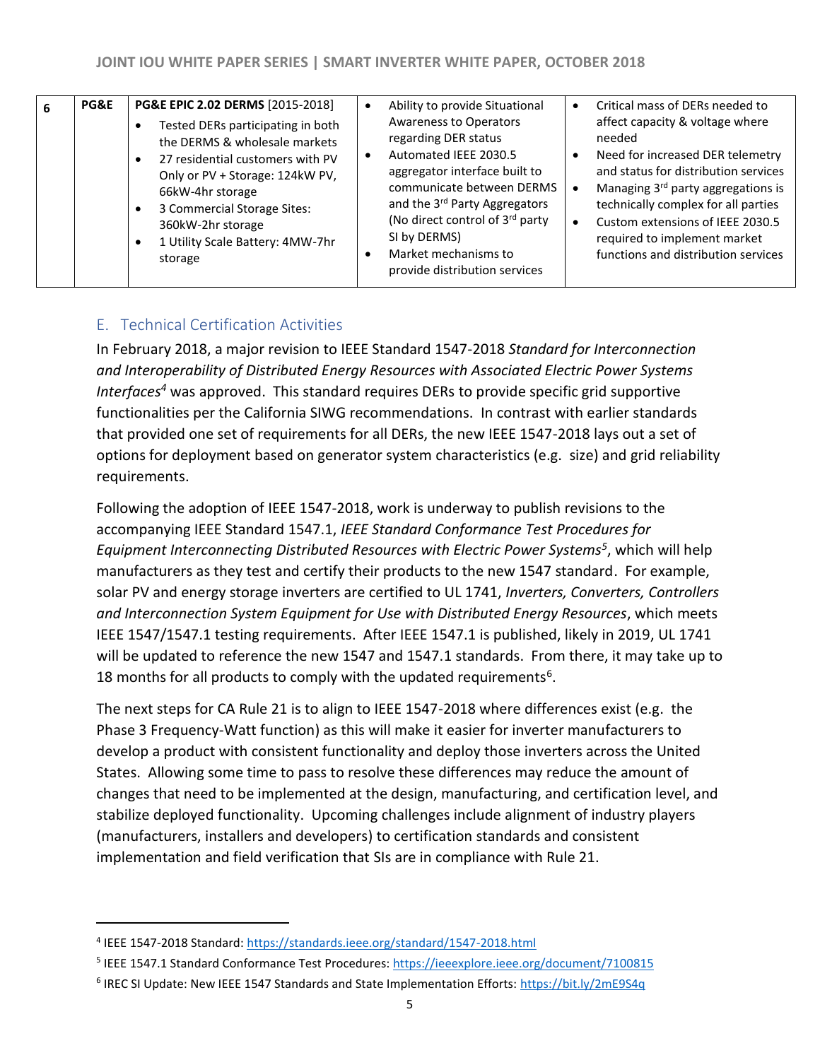| <b>PG&amp;E</b> | PG&E EPIC 2.02 DERMS [2015-2018]<br>Tested DERs participating in both<br>the DERMS & wholesale markets<br>27 residential customers with PV<br>$\bullet$<br>Only or PV + Storage: 124kW PV,<br>66kW-4hr storage<br>3 Commercial Storage Sites:<br>360kW-2hr storage<br>1 Utility Scale Battery: 4MW-7hr<br>storage | Ability to provide Situational<br><b>Awareness to Operators</b><br>regarding DER status<br>Automated IEEE 2030.5<br>aggregator interface built to<br>communicate between DERMS<br>and the 3 <sup>rd</sup> Party Aggregators<br>(No direct control of 3rd party<br>SI by DERMS)<br>Market mechanisms to<br>provide distribution services | Critical mass of DERs needed to<br>$\bullet$<br>affect capacity & voltage where<br>needed<br>Need for increased DER telemetry<br>$\bullet$<br>and status for distribution services<br>Managing 3 <sup>rd</sup> party aggregations is<br>technically complex for all parties<br>Custom extensions of IEEE 2030.5<br>$\bullet$<br>required to implement market<br>functions and distribution services |
|-----------------|-------------------------------------------------------------------------------------------------------------------------------------------------------------------------------------------------------------------------------------------------------------------------------------------------------------------|-----------------------------------------------------------------------------------------------------------------------------------------------------------------------------------------------------------------------------------------------------------------------------------------------------------------------------------------|-----------------------------------------------------------------------------------------------------------------------------------------------------------------------------------------------------------------------------------------------------------------------------------------------------------------------------------------------------------------------------------------------------|
|                 |                                                                                                                                                                                                                                                                                                                   |                                                                                                                                                                                                                                                                                                                                         |                                                                                                                                                                                                                                                                                                                                                                                                     |

## <span id="page-4-0"></span>E. Technical Certification Activities

In February 2018, a major revision to IEEE Standard 1547-2018 *Standard for Interconnection and Interoperability of Distributed Energy Resources with Associated Electric Power Systems Interfaces<sup>4</sup>* was approved. This standard requires DERs to provide specific grid supportive functionalities per the California SIWG recommendations. In contrast with earlier standards that provided one set of requirements for all DERs, the new IEEE 1547-2018 lays out a set of options for deployment based on generator system characteristics (e.g. size) and grid reliability requirements.

Following the adoption of IEEE 1547-2018, work is underway to publish revisions to the accompanying IEEE Standard 1547.1, *IEEE Standard Conformance Test Procedures for Equipment Interconnecting Distributed Resources with Electric Power Systems<sup>5</sup>* , which will help manufacturers as they test and certify their products to the new 1547 standard. For example, solar PV and energy storage inverters are certified to UL 1741, *Inverters, Converters, Controllers and Interconnection System Equipment for Use with Distributed Energy Resources*, which meets IEEE 1547/1547.1 testing requirements. After IEEE 1547.1 is published, likely in 2019, UL 1741 will be updated to reference the new 1547 and 1547.1 standards. From there, it may take up to 18 months for all products to comply with the updated requirements<sup>6</sup>.

The next steps for CA Rule 21 is to align to IEEE 1547-2018 where differences exist (e.g. the Phase 3 Frequency-Watt function) as this will make it easier for inverter manufacturers to develop a product with consistent functionality and deploy those inverters across the United States. Allowing some time to pass to resolve these differences may reduce the amount of changes that need to be implemented at the design, manufacturing, and certification level, and stabilize deployed functionality. Upcoming challenges include alignment of industry players (manufacturers, installers and developers) to certification standards and consistent implementation and field verification that SIs are in compliance with Rule 21.

 $\overline{a}$ 

- <sup>5</sup> IEEE 1547.1 Standard Conformance Test Procedures[: https://ieeexplore.ieee.org/document/7100815](https://ieeexplore.ieee.org/document/7100815)
- <sup>6</sup> IREC SI Update: New IEEE 1547 Standards and State Implementation Efforts[: https://bit.ly/2mE9S4q](https://bit.ly/2mE9S4q)

<sup>&</sup>lt;sup>4</sup> IEEE 1547-2018 Standard[: https://standards.ieee.org/standard/1547-2018.html](https://standards.ieee.org/standard/1547-2018.html)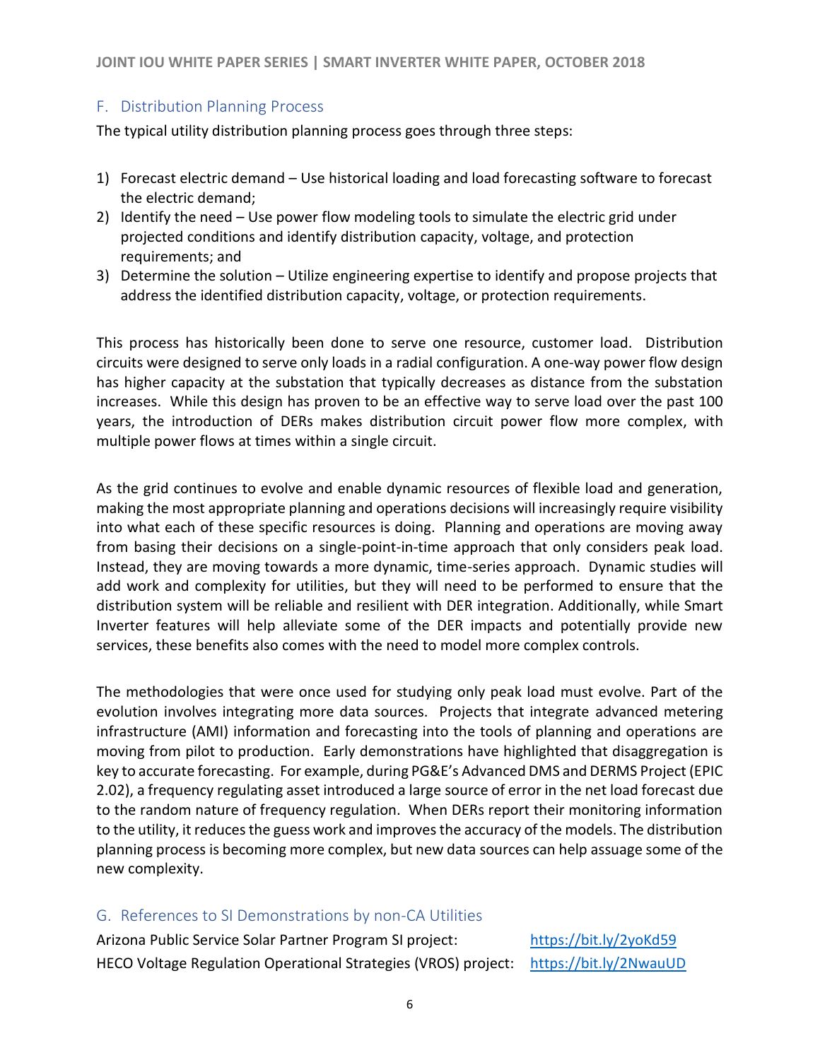### <span id="page-5-0"></span>F. Distribution Planning Process

The typical utility distribution planning process goes through three steps:

- 1) Forecast electric demand Use historical loading and load forecasting software to forecast the electric demand;
- 2) Identify the need Use power flow modeling tools to simulate the electric grid under projected conditions and identify distribution capacity, voltage, and protection requirements; and
- 3) Determine the solution Utilize engineering expertise to identify and propose projects that address the identified distribution capacity, voltage, or protection requirements.

This process has historically been done to serve one resource, customer load. Distribution circuits were designed to serve only loads in a radial configuration. A one-way power flow design has higher capacity at the substation that typically decreases as distance from the substation increases. While this design has proven to be an effective way to serve load over the past 100 years, the introduction of DERs makes distribution circuit power flow more complex, with multiple power flows at times within a single circuit.

As the grid continues to evolve and enable dynamic resources of flexible load and generation, making the most appropriate planning and operations decisions will increasingly require visibility into what each of these specific resources is doing. Planning and operations are moving away from basing their decisions on a single-point-in-time approach that only considers peak load. Instead, they are moving towards a more dynamic, time-series approach. Dynamic studies will add work and complexity for utilities, but they will need to be performed to ensure that the distribution system will be reliable and resilient with DER integration. Additionally, while Smart Inverter features will help alleviate some of the DER impacts and potentially provide new services, these benefits also comes with the need to model more complex controls.

The methodologies that were once used for studying only peak load must evolve. Part of the evolution involves integrating more data sources. Projects that integrate advanced metering infrastructure (AMI) information and forecasting into the tools of planning and operations are moving from pilot to production. Early demonstrations have highlighted that disaggregation is key to accurate forecasting. For example, during PG&E's Advanced DMS and DERMS Project (EPIC 2.02), a frequency regulating asset introduced a large source of error in the net load forecast due to the random nature of frequency regulation. When DERs report their monitoring information to the utility, it reduces the guess work and improves the accuracy of the models. The distribution planning process is becoming more complex, but new data sources can help assuage some of the new complexity.

#### <span id="page-5-1"></span>G. References to SI Demonstrations by non-CA Utilities

Arizona Public Service Solar Partner Program SI project: <https://bit.ly/2yoKd59> HECO Voltage Regulation Operational Strategies (VROS) project: <https://bit.ly/2NwauUD>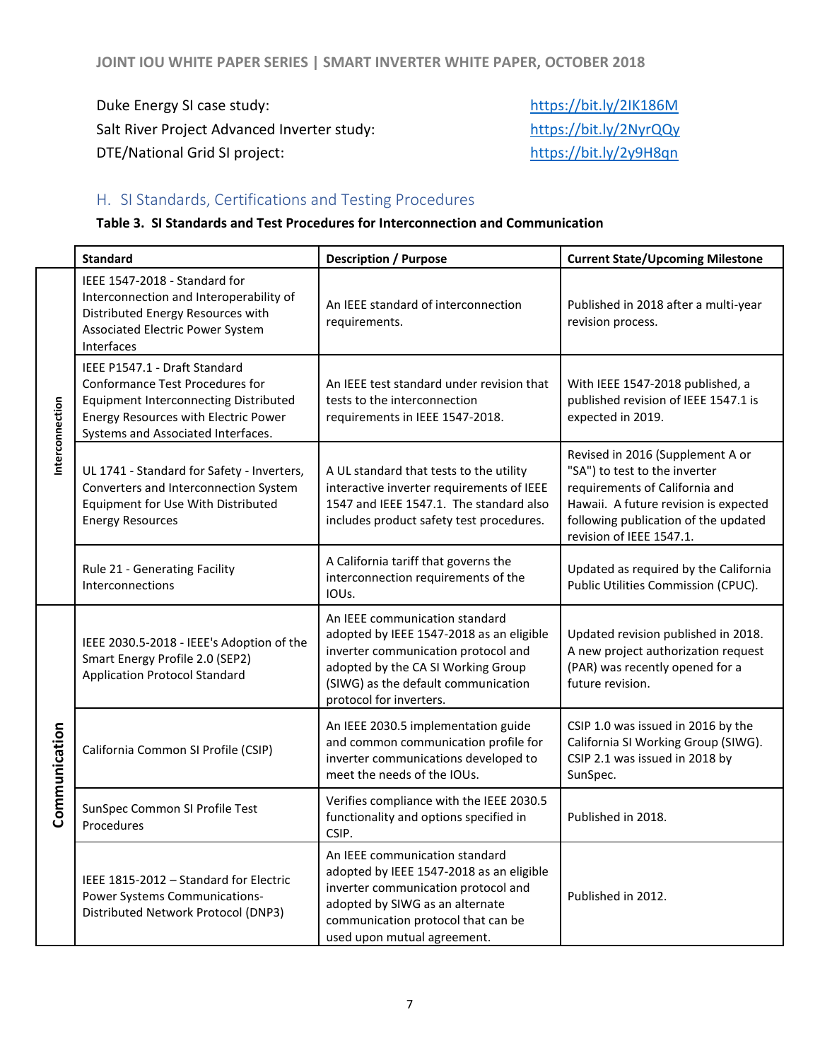Duke Energy SI case study: <https://bit.ly/2IK186M> Salt River Project Advanced Inverter study: <https://bit.ly/2NyrQQy> DTE/National Grid SI project: <https://bit.ly/2y9H8qn>

## <span id="page-6-0"></span>H. SI Standards, Certifications and Testing Procedures

#### **Table 3. SI Standards and Test Procedures for Interconnection and Communication**

|                 | <b>Standard</b>                                                                                                                                                                                | <b>Description / Purpose</b>                                                                                                                                                                                              | <b>Current State/Upcoming Milestone</b>                                                                                                                                                                          |
|-----------------|------------------------------------------------------------------------------------------------------------------------------------------------------------------------------------------------|---------------------------------------------------------------------------------------------------------------------------------------------------------------------------------------------------------------------------|------------------------------------------------------------------------------------------------------------------------------------------------------------------------------------------------------------------|
| Interconnection | IEEE 1547-2018 - Standard for<br>Interconnection and Interoperability of<br>Distributed Energy Resources with<br>Associated Electric Power System<br>Interfaces                                | An IEEE standard of interconnection<br>requirements.                                                                                                                                                                      | Published in 2018 after a multi-year<br>revision process.                                                                                                                                                        |
|                 | IEEE P1547.1 - Draft Standard<br>Conformance Test Procedures for<br><b>Equipment Interconnecting Distributed</b><br>Energy Resources with Electric Power<br>Systems and Associated Interfaces. | An IEEE test standard under revision that<br>tests to the interconnection<br>requirements in IEEE 1547-2018.                                                                                                              | With IEEE 1547-2018 published, a<br>published revision of IEEE 1547.1 is<br>expected in 2019.                                                                                                                    |
|                 | UL 1741 - Standard for Safety - Inverters,<br>Converters and Interconnection System<br>Equipment for Use With Distributed<br><b>Energy Resources</b>                                           | A UL standard that tests to the utility<br>interactive inverter requirements of IEEE<br>1547 and IEEE 1547.1. The standard also<br>includes product safety test procedures.                                               | Revised in 2016 (Supplement A or<br>"SA") to test to the inverter<br>requirements of California and<br>Hawaii. A future revision is expected<br>following publication of the updated<br>revision of IEEE 1547.1. |
|                 | Rule 21 - Generating Facility<br>Interconnections                                                                                                                                              | A California tariff that governs the<br>interconnection requirements of the<br>IOU <sub>s</sub> .                                                                                                                         | Updated as required by the California<br>Public Utilities Commission (CPUC).                                                                                                                                     |
| Communication   | IEEE 2030.5-2018 - IEEE's Adoption of the<br>Smart Energy Profile 2.0 (SEP2)<br><b>Application Protocol Standard</b>                                                                           | An IEEE communication standard<br>adopted by IEEE 1547-2018 as an eligible<br>inverter communication protocol and<br>adopted by the CA SI Working Group<br>(SIWG) as the default communication<br>protocol for inverters. | Updated revision published in 2018.<br>A new project authorization request<br>(PAR) was recently opened for a<br>future revision.                                                                                |
|                 | California Common SI Profile (CSIP)                                                                                                                                                            | An IEEE 2030.5 implementation guide<br>and common communication profile for<br>inverter communications developed to<br>meet the needs of the IOUs.                                                                        | CSIP 1.0 was issued in 2016 by the<br>California SI Working Group (SIWG).<br>CSIP 2.1 was issued in 2018 by<br>SunSpec.                                                                                          |
|                 | SunSpec Common SI Profile Test<br>Procedures                                                                                                                                                   | Verifies compliance with the IEEE 2030.5<br>functionality and options specified in<br>CSIP.                                                                                                                               | Published in 2018.                                                                                                                                                                                               |
|                 | IEEE 1815-2012 - Standard for Electric<br>Power Systems Communications-<br>Distributed Network Protocol (DNP3)                                                                                 | An IEEE communication standard<br>adopted by IEEE 1547-2018 as an eligible<br>inverter communication protocol and<br>adopted by SIWG as an alternate<br>communication protocol that can be<br>used upon mutual agreement. | Published in 2012.                                                                                                                                                                                               |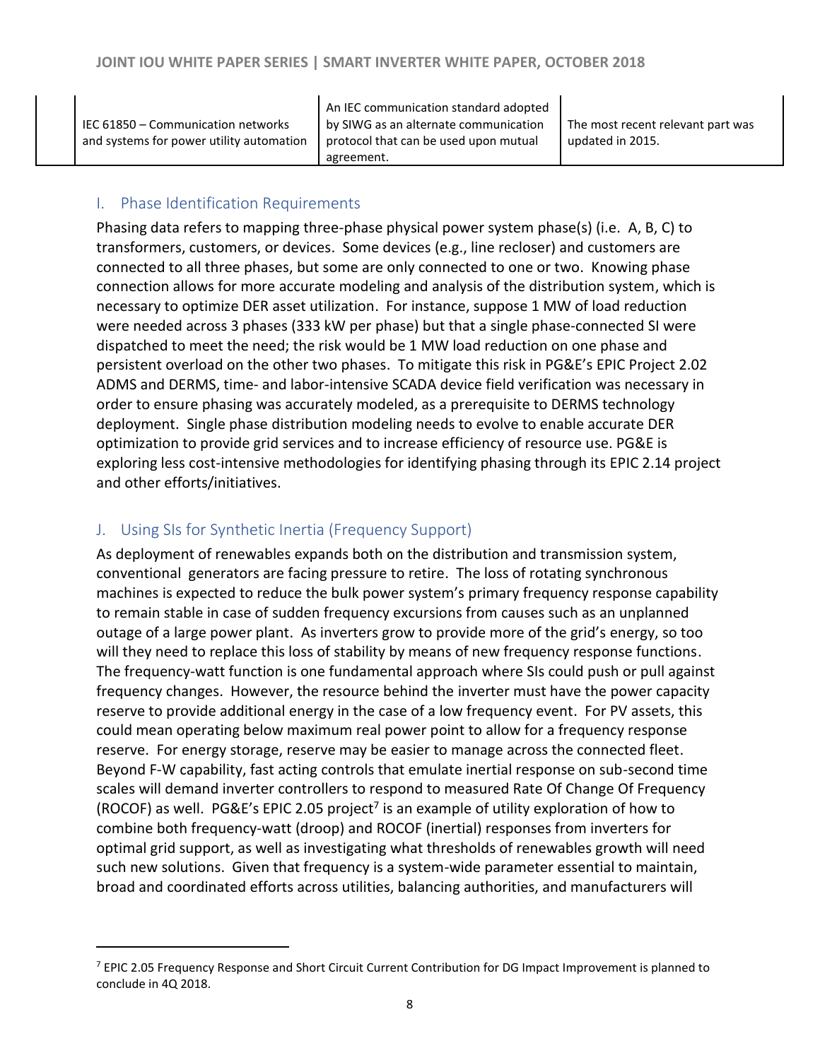|                                          | An IEC communication standard adopted |                                   |
|------------------------------------------|---------------------------------------|-----------------------------------|
| IEC 61850 - Communication networks       | by SIWG as an alternate communication | The most recent relevant part was |
| and systems for power utility automation | protocol that can be used upon mutual | updated in 2015.                  |
|                                          | agreement.                            |                                   |

#### <span id="page-7-0"></span>I. Phase Identification Requirements

Phasing data refers to mapping three-phase physical power system phase(s) (i.e. A, B, C) to transformers, customers, or devices. Some devices (e.g., line recloser) and customers are connected to all three phases, but some are only connected to one or two. Knowing phase connection allows for more accurate modeling and analysis of the distribution system, which is necessary to optimize DER asset utilization. For instance, suppose 1 MW of load reduction were needed across 3 phases (333 kW per phase) but that a single phase-connected SI were dispatched to meet the need; the risk would be 1 MW load reduction on one phase and persistent overload on the other two phases. To mitigate this risk in PG&E's EPIC Project 2.02 ADMS and DERMS, time- and labor-intensive SCADA device field verification was necessary in order to ensure phasing was accurately modeled, as a prerequisite to DERMS technology deployment. Single phase distribution modeling needs to evolve to enable accurate DER optimization to provide grid services and to increase efficiency of resource use. PG&E is exploring less cost-intensive methodologies for identifying phasing through its EPIC 2.14 project and other efforts/initiatives.

#### <span id="page-7-1"></span>J. Using SIs for Synthetic Inertia (Frequency Support)

 $\overline{a}$ 

As deployment of renewables expands both on the distribution and transmission system, conventional generators are facing pressure to retire. The loss of rotating synchronous machines is expected to reduce the bulk power system's primary frequency response capability to remain stable in case of sudden frequency excursions from causes such as an unplanned outage of a large power plant. As inverters grow to provide more of the grid's energy, so too will they need to replace this loss of stability by means of new frequency response functions. The frequency-watt function is one fundamental approach where SIs could push or pull against frequency changes. However, the resource behind the inverter must have the power capacity reserve to provide additional energy in the case of a low frequency event. For PV assets, this could mean operating below maximum real power point to allow for a frequency response reserve. For energy storage, reserve may be easier to manage across the connected fleet. Beyond F-W capability, fast acting controls that emulate inertial response on sub-second time scales will demand inverter controllers to respond to measured Rate Of Change Of Frequency (ROCOF) as well. PG&E's EPIC 2.05 project<sup>7</sup> is an example of utility exploration of how to combine both frequency-watt (droop) and ROCOF (inertial) responses from inverters for optimal grid support, as well as investigating what thresholds of renewables growth will need such new solutions. Given that frequency is a system-wide parameter essential to maintain, broad and coordinated efforts across utilities, balancing authorities, and manufacturers will

<sup>&</sup>lt;sup>7</sup> EPIC 2.05 Frequency Response and Short Circuit Current Contribution for DG Impact Improvement is planned to conclude in 4Q 2018.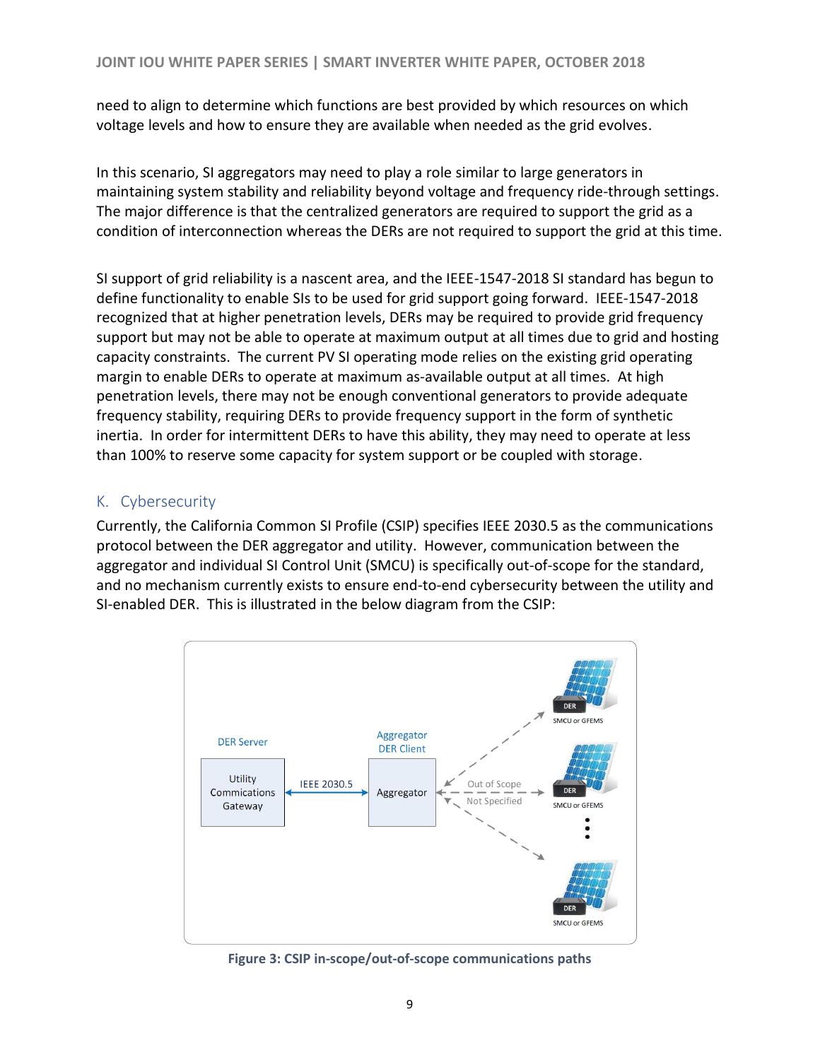need to align to determine which functions are best provided by which resources on which voltage levels and how to ensure they are available when needed as the grid evolves.

In this scenario, SI aggregators may need to play a role similar to large generators in maintaining system stability and reliability beyond voltage and frequency ride-through settings. The major difference is that the centralized generators are required to support the grid as a condition of interconnection whereas the DERs are not required to support the grid at this time.

SI support of grid reliability is a nascent area, and the IEEE-1547-2018 SI standard has begun to define functionality to enable SIs to be used for grid support going forward. IEEE-1547-2018 recognized that at higher penetration levels, DERs may be required to provide grid frequency support but may not be able to operate at maximum output at all times due to grid and hosting capacity constraints. The current PV SI operating mode relies on the existing grid operating margin to enable DERs to operate at maximum as-available output at all times. At high penetration levels, there may not be enough conventional generators to provide adequate frequency stability, requiring DERs to provide frequency support in the form of synthetic inertia. In order for intermittent DERs to have this ability, they may need to operate at less than 100% to reserve some capacity for system support or be coupled with storage.

## <span id="page-8-0"></span>K. Cybersecurity

Currently, the California Common SI Profile (CSIP) specifies IEEE 2030.5 as the communications protocol between the DER aggregator and utility. However, communication between the aggregator and individual SI Control Unit (SMCU) is specifically out-of-scope for the standard, and no mechanism currently exists to ensure end-to-end cybersecurity between the utility and SI-enabled DER. This is illustrated in the below diagram from the CSIP:



**Figure 3: CSIP in-scope/out-of-scope communications paths**